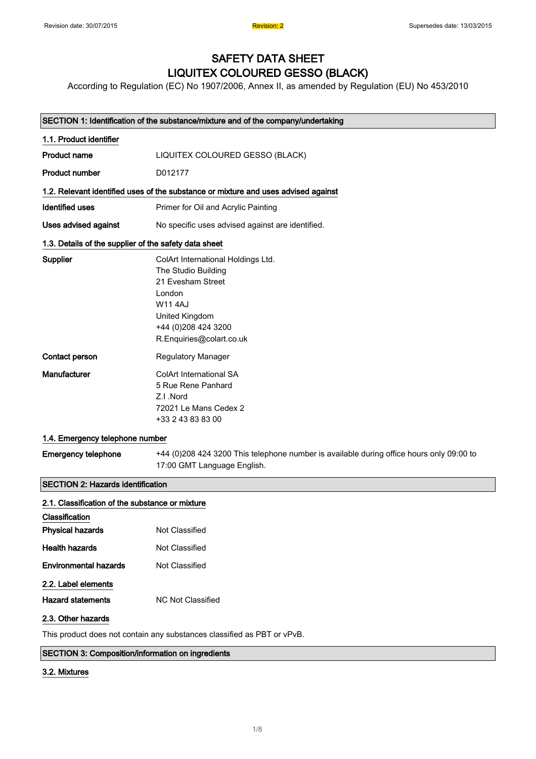# SAFETY DATA SHEET LIQUITEX COLOURED GESSO (BLACK)

According to Regulation (EC) No 1907/2006, Annex II, as amended by Regulation (EU) No 453/2010

|                                                       | SECTION 1: Identification of the substance/mixture and of the company/undertaking                                                                                              |  |
|-------------------------------------------------------|--------------------------------------------------------------------------------------------------------------------------------------------------------------------------------|--|
| 1.1. Product identifier                               |                                                                                                                                                                                |  |
| <b>Product name</b>                                   | LIQUITEX COLOURED GESSO (BLACK)                                                                                                                                                |  |
| <b>Product number</b>                                 | D012177                                                                                                                                                                        |  |
|                                                       | 1.2. Relevant identified uses of the substance or mixture and uses advised against                                                                                             |  |
| <b>Identified uses</b>                                | Primer for Oil and Acrylic Painting                                                                                                                                            |  |
| Uses advised against                                  | No specific uses advised against are identified.                                                                                                                               |  |
| 1.3. Details of the supplier of the safety data sheet |                                                                                                                                                                                |  |
| Supplier                                              | ColArt International Holdings Ltd.<br>The Studio Building<br>21 Evesham Street<br>London<br><b>W114AJ</b><br>United Kingdom<br>+44 (0)208 424 3200<br>R.Enquiries@colart.co.uk |  |
| Contact person                                        | <b>Regulatory Manager</b>                                                                                                                                                      |  |
| Manufacturer                                          | ColArt International SA<br>5 Rue Rene Panhard<br>Z.I.Nord<br>72021 Le Mans Cedex 2<br>+33 2 43 83 83 00                                                                        |  |
| 1.4. Emergency telephone number                       |                                                                                                                                                                                |  |
| <b>Emergency telephone</b>                            | +44 (0)208 424 3200 This telephone number is available during office hours only 09:00 to<br>17:00 GMT Language English.                                                        |  |
| <b>CONTINUAL DESCRIPTION OF STREET</b>                |                                                                                                                                                                                |  |

#### SECTION 2: Hazards identification

| 2.1. Classification of the substance or mixture |                   |
|-------------------------------------------------|-------------------|
| Classification                                  |                   |
| <b>Physical hazards</b>                         | Not Classified    |
| <b>Health hazards</b>                           | Not Classified    |
| <b>Environmental hazards</b>                    | Not Classified    |
| 2.2. Label elements                             |                   |
| <b>Hazard statements</b>                        | NC Not Classified |
| 2.3. Other hazards                              |                   |

This product does not contain any substances classified as PBT or vPvB.

#### SECTION 3: Composition/information on ingredients

#### 3.2. Mixtures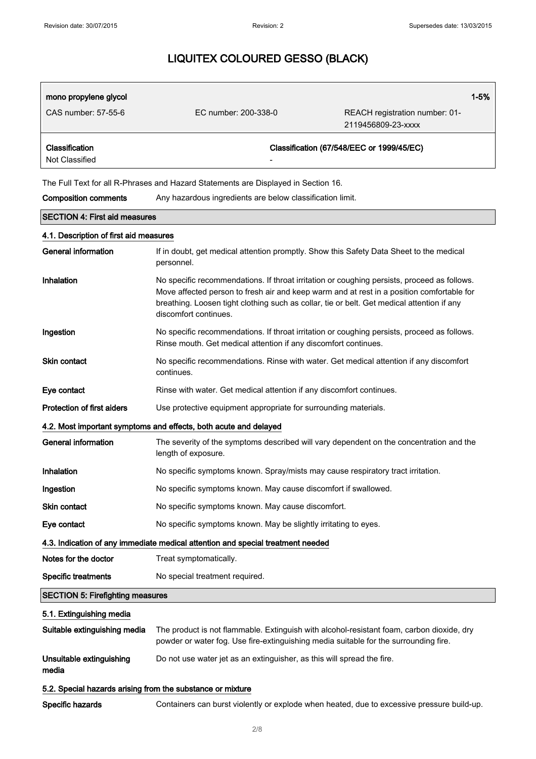| mono propylene glycol                                                           |                                                                                                                                                                                                                                                                                                                 | $1 - 5%$                                             |  |
|---------------------------------------------------------------------------------|-----------------------------------------------------------------------------------------------------------------------------------------------------------------------------------------------------------------------------------------------------------------------------------------------------------------|------------------------------------------------------|--|
| CAS number: 57-55-6                                                             | EC number: 200-338-0                                                                                                                                                                                                                                                                                            | REACH registration number: 01-<br>2119456809-23-xxxx |  |
| Classification<br>Not Classified                                                |                                                                                                                                                                                                                                                                                                                 | Classification (67/548/EEC or 1999/45/EC)            |  |
|                                                                                 | The Full Text for all R-Phrases and Hazard Statements are Displayed in Section 16.                                                                                                                                                                                                                              |                                                      |  |
| <b>Composition comments</b>                                                     | Any hazardous ingredients are below classification limit.                                                                                                                                                                                                                                                       |                                                      |  |
| <b>SECTION 4: First aid measures</b>                                            |                                                                                                                                                                                                                                                                                                                 |                                                      |  |
| 4.1. Description of first aid measures                                          |                                                                                                                                                                                                                                                                                                                 |                                                      |  |
| <b>General information</b>                                                      | If in doubt, get medical attention promptly. Show this Safety Data Sheet to the medical<br>personnel.                                                                                                                                                                                                           |                                                      |  |
| Inhalation                                                                      | No specific recommendations. If throat irritation or coughing persists, proceed as follows.<br>Move affected person to fresh air and keep warm and at rest in a position comfortable for<br>breathing. Loosen tight clothing such as collar, tie or belt. Get medical attention if any<br>discomfort continues. |                                                      |  |
| Ingestion                                                                       | No specific recommendations. If throat irritation or coughing persists, proceed as follows.<br>Rinse mouth. Get medical attention if any discomfort continues.                                                                                                                                                  |                                                      |  |
| <b>Skin contact</b>                                                             | No specific recommendations. Rinse with water. Get medical attention if any discomfort<br>continues.                                                                                                                                                                                                            |                                                      |  |
| Eye contact                                                                     | Rinse with water. Get medical attention if any discomfort continues.                                                                                                                                                                                                                                            |                                                      |  |
| Protection of first aiders                                                      | Use protective equipment appropriate for surrounding materials.                                                                                                                                                                                                                                                 |                                                      |  |
| 4.2. Most important symptoms and effects, both acute and delayed                |                                                                                                                                                                                                                                                                                                                 |                                                      |  |
| <b>General information</b>                                                      | The severity of the symptoms described will vary dependent on the concentration and the<br>length of exposure.                                                                                                                                                                                                  |                                                      |  |
| Inhalation                                                                      | No specific symptoms known. Spray/mists may cause respiratory tract irritation.                                                                                                                                                                                                                                 |                                                      |  |
| Ingestion                                                                       | No specific symptoms known. May cause discomfort if swallowed.                                                                                                                                                                                                                                                  |                                                      |  |
| Skin contact                                                                    | No specific symptoms known. May cause discomfort.                                                                                                                                                                                                                                                               |                                                      |  |
| Eye contact                                                                     | No specific symptoms known. May be slightly irritating to eyes.                                                                                                                                                                                                                                                 |                                                      |  |
| 4.3. Indication of any immediate medical attention and special treatment needed |                                                                                                                                                                                                                                                                                                                 |                                                      |  |
| Notes for the doctor                                                            | Treat symptomatically.                                                                                                                                                                                                                                                                                          |                                                      |  |
| <b>Specific treatments</b>                                                      | No special treatment required.                                                                                                                                                                                                                                                                                  |                                                      |  |
| <b>SECTION 5: Firefighting measures</b>                                         |                                                                                                                                                                                                                                                                                                                 |                                                      |  |
| 5.1. Extinguishing media                                                        |                                                                                                                                                                                                                                                                                                                 |                                                      |  |
| Suitable extinguishing media                                                    | The product is not flammable. Extinguish with alcohol-resistant foam, carbon dioxide, dry<br>powder or water fog. Use fire-extinguishing media suitable for the surrounding fire.                                                                                                                               |                                                      |  |
| Unsuitable extinguishing<br>media                                               | Do not use water jet as an extinguisher, as this will spread the fire.                                                                                                                                                                                                                                          |                                                      |  |
| 5.2. Special hazards arising from the substance or mixture                      |                                                                                                                                                                                                                                                                                                                 |                                                      |  |
| Specific hazards                                                                | Containers can burst violently or explode when heated, due to excessive pressure build-up.                                                                                                                                                                                                                      |                                                      |  |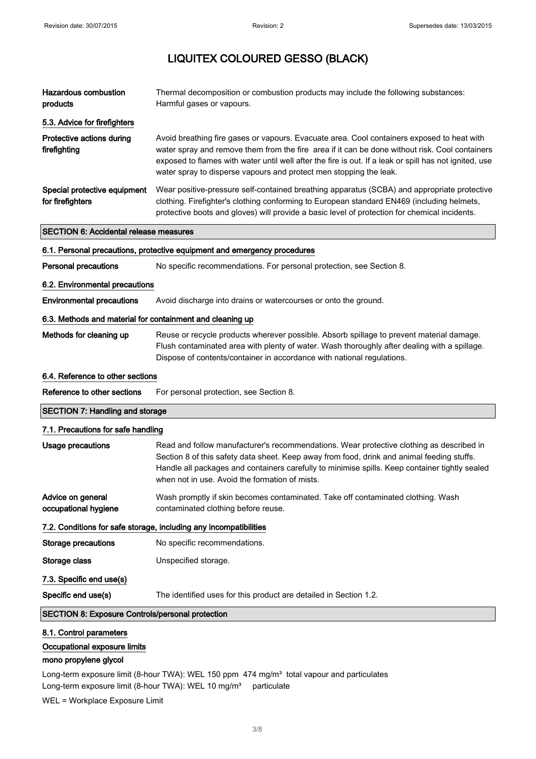| <b>Hazardous combustion</b><br>products                   | Thermal decomposition or combustion products may include the following substances:<br>Harmful gases or vapours.                                                                                                                                                                                                                                                              |  |
|-----------------------------------------------------------|------------------------------------------------------------------------------------------------------------------------------------------------------------------------------------------------------------------------------------------------------------------------------------------------------------------------------------------------------------------------------|--|
| 5.3. Advice for firefighters                              |                                                                                                                                                                                                                                                                                                                                                                              |  |
| Protective actions during<br>firefighting                 | Avoid breathing fire gases or vapours. Evacuate area. Cool containers exposed to heat with<br>water spray and remove them from the fire area if it can be done without risk. Cool containers<br>exposed to flames with water until well after the fire is out. If a leak or spill has not ignited, use<br>water spray to disperse vapours and protect men stopping the leak. |  |
| Special protective equipment<br>for firefighters          | Wear positive-pressure self-contained breathing apparatus (SCBA) and appropriate protective<br>clothing. Firefighter's clothing conforming to European standard EN469 (including helmets,<br>protective boots and gloves) will provide a basic level of protection for chemical incidents.                                                                                   |  |
| <b>SECTION 6: Accidental release measures</b>             |                                                                                                                                                                                                                                                                                                                                                                              |  |
|                                                           | 6.1. Personal precautions, protective equipment and emergency procedures                                                                                                                                                                                                                                                                                                     |  |
| <b>Personal precautions</b>                               | No specific recommendations. For personal protection, see Section 8.                                                                                                                                                                                                                                                                                                         |  |
| 6.2. Environmental precautions                            |                                                                                                                                                                                                                                                                                                                                                                              |  |
| <b>Environmental precautions</b>                          | Avoid discharge into drains or watercourses or onto the ground.                                                                                                                                                                                                                                                                                                              |  |
| 6.3. Methods and material for containment and cleaning up |                                                                                                                                                                                                                                                                                                                                                                              |  |
| Methods for cleaning up                                   | Reuse or recycle products wherever possible. Absorb spillage to prevent material damage.<br>Flush contaminated area with plenty of water. Wash thoroughly after dealing with a spillage.<br>Dispose of contents/container in accordance with national regulations.                                                                                                           |  |
| 6.4. Reference to other sections                          |                                                                                                                                                                                                                                                                                                                                                                              |  |
| Reference to other sections                               | For personal protection, see Section 8.                                                                                                                                                                                                                                                                                                                                      |  |
| <b>SECTION 7: Handling and storage</b>                    |                                                                                                                                                                                                                                                                                                                                                                              |  |
| 7.1. Precautions for safe handling                        |                                                                                                                                                                                                                                                                                                                                                                              |  |

| Usage precautions                         | Read and follow manufacturer's recommendations. Wear protective clothing as described in<br>Section 8 of this safety data sheet. Keep away from food, drink and animal feeding stuffs.<br>Handle all packages and containers carefully to minimise spills. Keep container tightly sealed<br>when not in use. Avoid the formation of mists. |
|-------------------------------------------|--------------------------------------------------------------------------------------------------------------------------------------------------------------------------------------------------------------------------------------------------------------------------------------------------------------------------------------------|
| Advice on general<br>occupational hygiene | Wash promptly if skin becomes contaminated. Take off contaminated clothing. Wash<br>contaminated clothing before reuse.                                                                                                                                                                                                                    |
|                                           | 7.2. Conditions for safe storage, including any incompatibilities                                                                                                                                                                                                                                                                          |
| <b>Storage precautions</b>                | No specific recommendations.                                                                                                                                                                                                                                                                                                               |
| Storage class                             | Unspecified storage.                                                                                                                                                                                                                                                                                                                       |
| 7.3. Specific end use(s)                  |                                                                                                                                                                                                                                                                                                                                            |
| Specific end use(s)                       | The identified uses for this product are detailed in Section 1.2.                                                                                                                                                                                                                                                                          |

SECTION 8: Exposure Controls/personal protection

### 8.1. Control parameters

Occupational exposure limits

### mono propylene glycol

Long-term exposure limit (8-hour TWA): WEL 150 ppm 474 mg/m<sup>3</sup> total vapour and particulates Long-term exposure limit (8-hour TWA): WEL 10 mg/m<sup>3</sup> particulate

WEL = Workplace Exposure Limit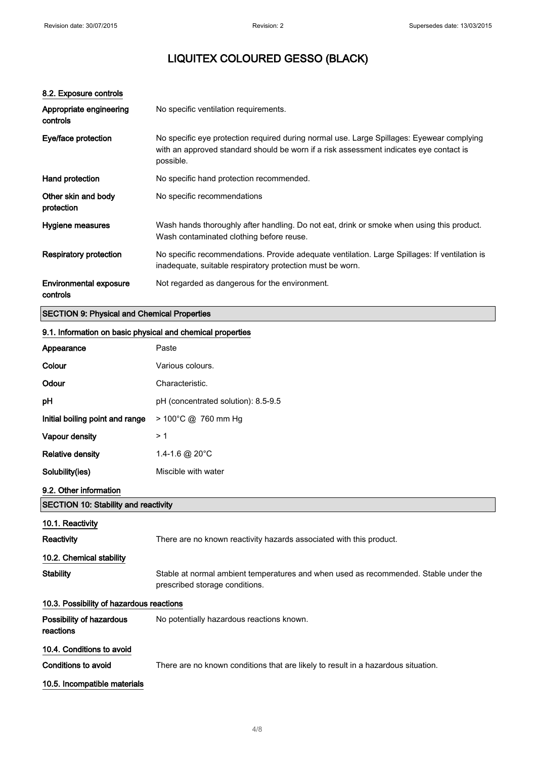| 8.2. Exposure controls                                     |                                                                                                                                                                                                  |  |
|------------------------------------------------------------|--------------------------------------------------------------------------------------------------------------------------------------------------------------------------------------------------|--|
| Appropriate engineering<br>controls                        | No specific ventilation requirements.                                                                                                                                                            |  |
| Eye/face protection                                        | No specific eye protection required during normal use. Large Spillages: Eyewear complying<br>with an approved standard should be worn if a risk assessment indicates eye contact is<br>possible. |  |
| Hand protection                                            | No specific hand protection recommended.                                                                                                                                                         |  |
| Other skin and body<br>protection                          | No specific recommendations                                                                                                                                                                      |  |
| Hygiene measures                                           | Wash hands thoroughly after handling. Do not eat, drink or smoke when using this product.<br>Wash contaminated clothing before reuse.                                                            |  |
| <b>Respiratory protection</b>                              | No specific recommendations. Provide adequate ventilation. Large Spillages: If ventilation is<br>inadequate, suitable respiratory protection must be worn.                                       |  |
| Environmental exposure<br>controls                         | Not regarded as dangerous for the environment.                                                                                                                                                   |  |
| <b>SECTION 9: Physical and Chemical Properties</b>         |                                                                                                                                                                                                  |  |
| 9.1. Information on basic physical and chemical properties |                                                                                                                                                                                                  |  |
| Appearance                                                 | Paste                                                                                                                                                                                            |  |

| , ippourunoo                                |                                                                                                                        |  |
|---------------------------------------------|------------------------------------------------------------------------------------------------------------------------|--|
| Colour                                      | Various colours.                                                                                                       |  |
| Odour                                       | Characteristic.                                                                                                        |  |
| рH                                          | pH (concentrated solution): 8.5-9.5                                                                                    |  |
| Initial boiling point and range             | > 100°C @ 760 mm Hg                                                                                                    |  |
| Vapour density                              | >1                                                                                                                     |  |
| <b>Relative density</b>                     | 1.4-1.6 @ 20°C                                                                                                         |  |
| Solubility(ies)                             | Miscible with water                                                                                                    |  |
| 9.2. Other information                      |                                                                                                                        |  |
| <b>SECTION 10: Stability and reactivity</b> |                                                                                                                        |  |
| 10.1. Reactivity                            |                                                                                                                        |  |
| Reactivity                                  | There are no known reactivity hazards associated with this product.                                                    |  |
| 10.2. Chemical stability                    |                                                                                                                        |  |
| <b>Stability</b>                            | Stable at normal ambient temperatures and when used as recommended. Stable under the<br>prescribed storage conditions. |  |
| 10.3. Possibility of hazardous reactions    |                                                                                                                        |  |
| Possibility of hazardous<br>reactions       | No potentially hazardous reactions known.                                                                              |  |
| 10.4. Conditions to avoid                   |                                                                                                                        |  |
| <b>Conditions to avoid</b>                  | There are no known conditions that are likely to result in a hazardous situation.                                      |  |
| 10.5. Incompatible materials                |                                                                                                                        |  |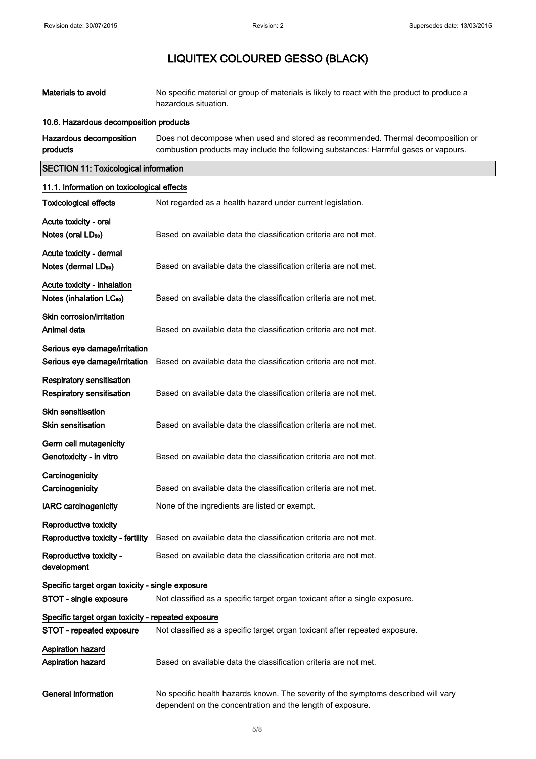| Materials to avoid                                                   | No specific material or group of materials is likely to react with the product to produce a<br>hazardous situation.                                                     |  |  |
|----------------------------------------------------------------------|-------------------------------------------------------------------------------------------------------------------------------------------------------------------------|--|--|
| 10.6. Hazardous decomposition products                               |                                                                                                                                                                         |  |  |
| Hazardous decomposition<br>products                                  | Does not decompose when used and stored as recommended. Thermal decomposition or<br>combustion products may include the following substances: Harmful gases or vapours. |  |  |
| <b>SECTION 11: Toxicological information</b>                         |                                                                                                                                                                         |  |  |
| 11.1. Information on toxicological effects                           |                                                                                                                                                                         |  |  |
| <b>Toxicological effects</b>                                         | Not regarded as a health hazard under current legislation.                                                                                                              |  |  |
| Acute toxicity - oral<br>Notes (oral LD <sub>50</sub> )              | Based on available data the classification criteria are not met.                                                                                                        |  |  |
| Acute toxicity - dermal                                              |                                                                                                                                                                         |  |  |
| Notes (dermal LD <sub>50</sub> )                                     | Based on available data the classification criteria are not met.                                                                                                        |  |  |
| Acute toxicity - inhalation                                          |                                                                                                                                                                         |  |  |
| Notes (inhalation LC <sub>50</sub> )                                 | Based on available data the classification criteria are not met.                                                                                                        |  |  |
| Skin corrosion/irritation                                            |                                                                                                                                                                         |  |  |
| Animal data                                                          | Based on available data the classification criteria are not met.                                                                                                        |  |  |
| Serious eye damage/irritation                                        |                                                                                                                                                                         |  |  |
| Serious eye damage/irritation                                        | Based on available data the classification criteria are not met.                                                                                                        |  |  |
| <b>Respiratory sensitisation</b><br><b>Respiratory sensitisation</b> | Based on available data the classification criteria are not met.                                                                                                        |  |  |
| <b>Skin sensitisation</b>                                            |                                                                                                                                                                         |  |  |
| <b>Skin sensitisation</b>                                            | Based on available data the classification criteria are not met.                                                                                                        |  |  |
| Germ cell mutagenicity<br>Genotoxicity - in vitro                    | Based on available data the classification criteria are not met.                                                                                                        |  |  |
|                                                                      |                                                                                                                                                                         |  |  |
| Carcinogenicity<br>Carcinogenicity                                   | Based on available data the classification criteria are not met.                                                                                                        |  |  |
| <b>IARC carcinogenicity</b>                                          | None of the ingredients are listed or exempt.                                                                                                                           |  |  |
| <b>Reproductive toxicity</b>                                         |                                                                                                                                                                         |  |  |
| Reproductive toxicity - fertility                                    | Based on available data the classification criteria are not met.                                                                                                        |  |  |
| Reproductive toxicity -<br>development                               | Based on available data the classification criteria are not met.                                                                                                        |  |  |
| Specific target organ toxicity - single exposure                     |                                                                                                                                                                         |  |  |
| STOT - single exposure                                               | Not classified as a specific target organ toxicant after a single exposure.                                                                                             |  |  |
| Specific target organ toxicity - repeated exposure                   |                                                                                                                                                                         |  |  |
| STOT - repeated exposure                                             | Not classified as a specific target organ toxicant after repeated exposure.                                                                                             |  |  |
| <b>Aspiration hazard</b><br><b>Aspiration hazard</b>                 | Based on available data the classification criteria are not met.                                                                                                        |  |  |
| <b>General information</b>                                           | No specific health hazards known. The severity of the symptoms described will vary<br>dependent on the concentration and the length of exposure.                        |  |  |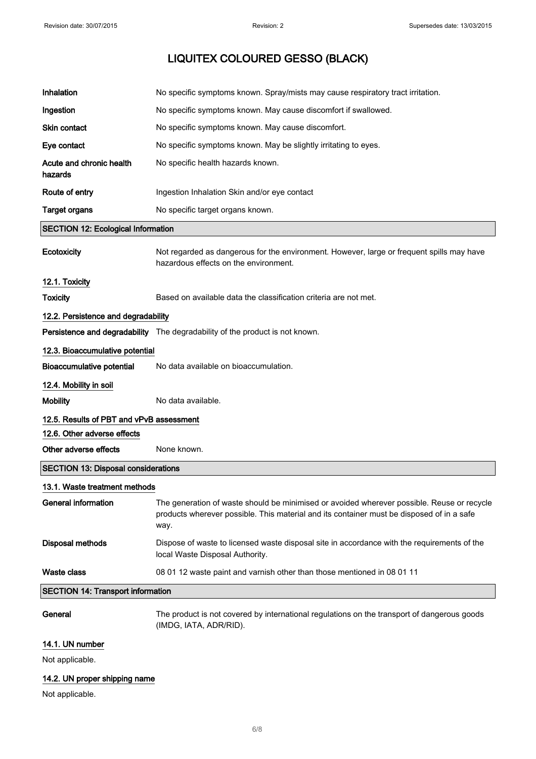| Inhalation                                 | No specific symptoms known. Spray/mists may cause respiratory tract irritation.                                                                                                                 |  |
|--------------------------------------------|-------------------------------------------------------------------------------------------------------------------------------------------------------------------------------------------------|--|
| Ingestion                                  | No specific symptoms known. May cause discomfort if swallowed.                                                                                                                                  |  |
| <b>Skin contact</b>                        | No specific symptoms known. May cause discomfort.                                                                                                                                               |  |
| Eye contact                                | No specific symptoms known. May be slightly irritating to eyes.                                                                                                                                 |  |
| Acute and chronic health<br>hazards        | No specific health hazards known.                                                                                                                                                               |  |
| Route of entry                             | Ingestion Inhalation Skin and/or eye contact                                                                                                                                                    |  |
| <b>Target organs</b>                       | No specific target organs known.                                                                                                                                                                |  |
| <b>SECTION 12: Ecological Information</b>  |                                                                                                                                                                                                 |  |
| <b>Ecotoxicity</b>                         | Not regarded as dangerous for the environment. However, large or frequent spills may have<br>hazardous effects on the environment.                                                              |  |
| 12.1. Toxicity                             |                                                                                                                                                                                                 |  |
| <b>Toxicity</b>                            | Based on available data the classification criteria are not met.                                                                                                                                |  |
| 12.2. Persistence and degradability        |                                                                                                                                                                                                 |  |
|                                            | Persistence and degradability The degradability of the product is not known.                                                                                                                    |  |
| 12.3. Bioaccumulative potential            |                                                                                                                                                                                                 |  |
| <b>Bioaccumulative potential</b>           | No data available on bioaccumulation.                                                                                                                                                           |  |
| 12.4. Mobility in soil                     |                                                                                                                                                                                                 |  |
| <b>Mobility</b>                            | No data available.                                                                                                                                                                              |  |
| 12.5. Results of PBT and vPvB assessment   |                                                                                                                                                                                                 |  |
| 12.6. Other adverse effects                |                                                                                                                                                                                                 |  |
| Other adverse effects                      | None known.                                                                                                                                                                                     |  |
| <b>SECTION 13: Disposal considerations</b> |                                                                                                                                                                                                 |  |
| 13.1. Waste treatment methods              |                                                                                                                                                                                                 |  |
| General information                        | The generation of waste should be minimised or avoided wherever possible. Reuse or recycle<br>products wherever possible. This material and its container must be disposed of in a safe<br>way. |  |
| <b>Disposal methods</b>                    | Dispose of waste to licensed waste disposal site in accordance with the requirements of the<br>local Waste Disposal Authority.                                                                  |  |
| <b>Waste class</b>                         | 08 01 12 waste paint and varnish other than those mentioned in 08 01 11                                                                                                                         |  |
| <b>SECTION 14: Transport information</b>   |                                                                                                                                                                                                 |  |
| General                                    | The product is not covered by international regulations on the transport of dangerous goods<br>(IMDG, IATA, ADR/RID).                                                                           |  |

## 14.1. UN number

Not applicable.

## 14.2. UN proper shipping name

Not applicable.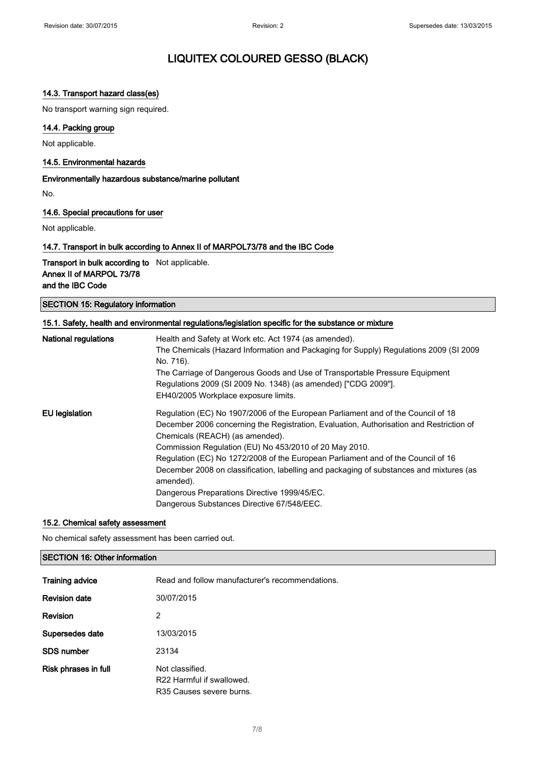## 14.3. Transport hazard class(es)

No transport warning sign required.

### 14.4. Packing group

Not applicable.

#### 14.5. Environmental hazards

Environmentally hazardous substance/marine pollutant

No.

### 14.6. Special precautions for user

Not applicable.

### 14.7. Transport in bulk according to Annex II of MARPOL73/78 and the IBC Code

Transport in bulk according to Not applicable. Annex II of MARPOL 73/78 and the IBC Code

|  |  |  | <b>SECTION 15: Regulatory information</b> |
|--|--|--|-------------------------------------------|
|--|--|--|-------------------------------------------|

| 15.1. Safety, health and environmental regulations/legislation specific for the substance or mixture |                                                                                                                                                                                       |  |
|------------------------------------------------------------------------------------------------------|---------------------------------------------------------------------------------------------------------------------------------------------------------------------------------------|--|
| <b>National regulations</b>                                                                          | Health and Safety at Work etc. Act 1974 (as amended).<br>The Chemicals (Hazard Information and Packaging for Supply) Regulations 2009 (SI 2009                                        |  |
|                                                                                                      | No. 716).                                                                                                                                                                             |  |
|                                                                                                      | The Carriage of Dangerous Goods and Use of Transportable Pressure Equipment<br>Regulations 2009 (SI 2009 No. 1348) (as amended) ["CDG 2009"].<br>EH40/2005 Workplace exposure limits. |  |
| <b>EU</b> legislation                                                                                | Regulation (EC) No 1907/2006 of the European Parliament and of the Council of 18                                                                                                      |  |
|                                                                                                      | December 2006 concerning the Registration, Evaluation, Authorisation and Restriction of<br>Chemicals (REACH) (as amended).                                                            |  |
|                                                                                                      | Commission Regulation (EU) No 453/2010 of 20 May 2010.                                                                                                                                |  |
|                                                                                                      | Regulation (EC) No 1272/2008 of the European Parliament and of the Council of 16                                                                                                      |  |
|                                                                                                      | December 2008 on classification, labelling and packaging of substances and mixtures (as<br>amended).                                                                                  |  |
|                                                                                                      | Dangerous Preparations Directive 1999/45/EC.                                                                                                                                          |  |
|                                                                                                      | Dangerous Substances Directive 67/548/EEC.                                                                                                                                            |  |

#### 15.2. Chemical safety assessment

No chemical safety assessment has been carried out.

## SECTION 16: Other information

| Training advice      | Read and follow manufacturer's recommendations.                          |
|----------------------|--------------------------------------------------------------------------|
| <b>Revision date</b> | 30/07/2015                                                               |
| Revision             | 2                                                                        |
| Supersedes date      | 13/03/2015                                                               |
| <b>SDS</b> number    | 23134                                                                    |
| Risk phrases in full | Not classified.<br>R22 Harmful if swallowed.<br>R35 Causes severe burns. |